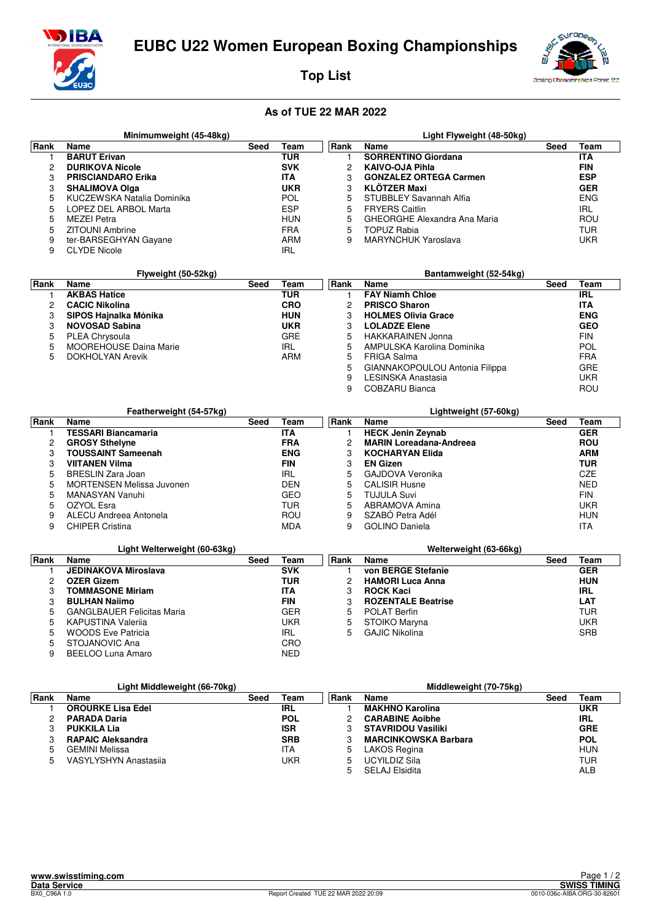

## **Top List**



## **As of TUE 22 MAR 2022**

|      | Minimumweight (45-48kg)    |      |            |             | Light Flyweight (48-50kg)     |      |            |
|------|----------------------------|------|------------|-------------|-------------------------------|------|------------|
| Rank | Name                       | Seed | Team       | <b>Rank</b> | <b>Name</b>                   | Seed | Team       |
|      | <b>BARUT Erivan</b>        |      | TUR        |             | <b>SORRENTINO Giordana</b>    |      | <b>ITA</b> |
|      | <b>DURIKOVA Nicole</b>     |      | <b>SVK</b> |             | <b>KAIVO-OJA Pihla</b>        |      | <b>FIN</b> |
| 3    | <b>PRISCIANDARO Erika</b>  |      | <b>ITA</b> |             | <b>GONZALEZ ORTEGA Carmen</b> |      | <b>ESP</b> |
| 3    | <b>SHALIMOVA Olga</b>      |      | <b>UKR</b> | 3           | <b>KLÖTZER Maxi</b>           |      | <b>GER</b> |
| 5    | KUCZEWSKA Natalia Dominika |      | <b>POL</b> |             | STUBBLEY Savannah Alfia       |      | <b>ENG</b> |
| 5    | LOPEZ DEL ARBOL Marta      |      | <b>ESP</b> | 5           | <b>FRYERS Caitlin</b>         |      | IRL        |
| 5    | <b>MEZEI Petra</b>         |      | <b>HUN</b> | 5           | GHEORGHE Alexandra Ana Maria  |      | ROU        |
| 5    | ZITOUNI Ambrine            |      | <b>FRA</b> | 5           | TOPUZ Rabia                   |      | TUR        |
| 9    | ter-BARSEGHYAN Gayane      |      | ARM        | 9           | <b>MARYNCHUK Yaroslava</b>    |      | UKR        |
| 9    | <b>CLYDE Nicole</b>        |      | IRL        |             |                               |      |            |

|      | Flyweight (50-52kg)           |      |            |             | Bantamweight (52-54kg)         |      |            |
|------|-------------------------------|------|------------|-------------|--------------------------------|------|------------|
| Rank | <b>Name</b>                   | Seed | Team       | <b>Rank</b> | Name                           | Seed | Team       |
|      | <b>AKBAS Hatice</b>           |      | TUR        |             | <b>FAY Niamh Chloe</b>         |      | <b>IRL</b> |
|      | <b>CACIC Nikolina</b>         |      | <b>CRO</b> | 2           | <b>PRISCO Sharon</b>           |      | <b>ITA</b> |
| 3    | SIPOS Hajnalka Mónika         |      | <b>HUN</b> | 3           | <b>HOLMES Olivia Grace</b>     |      | <b>ENG</b> |
|      | <b>NOVOSAD Sabina</b>         |      | <b>UKR</b> | 3           | <b>LOLADZE Elene</b>           |      | <b>GEO</b> |
|      | PLEA Chrysoula                |      | <b>GRE</b> | 5           | <b>HAKKARAINEN Jonna</b>       |      | <b>FIN</b> |
| 5.   | <b>MOOREHOUSE Daina Marie</b> |      | <b>IRL</b> | 5           | AMPULSKA Karolina Dominika     |      | <b>POL</b> |
|      | <b>DOKHOLYAN Arevik</b>       |      | ARM        | 5           | <b>FRIGA Salma</b>             |      | <b>FRA</b> |
|      |                               |      |            | 5           | GIANNAKOPOULOU Antonia Filippa |      | <b>GRE</b> |
|      |                               |      |            | 9           | LESINSKA Anastasia             |      | UKR        |

9 COBZARU Bianca ROU

|             | Featherweight (54-57kg)          |      |            |      | Lightweight (57-60kg)          |      |            |
|-------------|----------------------------------|------|------------|------|--------------------------------|------|------------|
| <b>Rank</b> | Name                             | Seed | Team       | Rank | Name                           | Seed | Team       |
|             | <b>TESSARI Biancamaria</b>       |      | <b>ITA</b> |      | <b>HECK Jenin Zeynab</b>       |      | <b>GER</b> |
|             | <b>GROSY Sthelyne</b>            |      | <b>FRA</b> | 2    | <b>MARIN Loreadana-Andreea</b> |      | <b>ROU</b> |
| з           | <b>TOUSSAINT Sameenah</b>        |      | <b>ENG</b> | 3    | <b>KOCHARYAN Elida</b>         |      | <b>ARM</b> |
| з           | <b>VIITANEN Vilma</b>            |      | <b>FIN</b> | 3    | <b>EN Gizen</b>                |      | TUR        |
|             | BRESLIN Zara Joan                |      | IRL        | 5    | GAJDOVA Veronika               |      | CZE        |
|             | <b>MORTENSEN Melissa Juvonen</b> |      | <b>DEN</b> | 5    | <b>CALISIR Husne</b>           |      | <b>NED</b> |
|             | MANASYAN Vanuhi                  |      | GEO        | 5    | <b>TUJULA Suvi</b>             |      | <b>FIN</b> |
|             | OZYOL Esra                       |      | TUR        | 5    | ABRAMOVA Amina                 |      | UKR        |
| 9           | ALECU Andreea Antonela           |      | ROU        | 9    | SZABÓ Petra Adél               |      | <b>HUN</b> |
| 9           | <b>CHIPER Cristina</b>           |      | <b>MDA</b> | 9    | <b>GOLINO Daniela</b>          |      | <b>ITA</b> |

|      | Light Welterweight (60-63kg)      |      |            |       | Welterweight (63-66kg)    |      |            |
|------|-----------------------------------|------|------------|-------|---------------------------|------|------------|
| Rank | Name                              | Seed | Team       | ∣Rank | <b>Name</b>               | Seed | Team       |
|      | <b>JEDINAKOVA Miroslava</b>       |      | <b>SVK</b> |       | von BERGE Stefanie        |      | <b>GER</b> |
| 2    | <b>OZER Gizem</b>                 |      | TUR        |       | <b>HAMORI Luca Anna</b>   |      | <b>HUN</b> |
| З    | <b>TOMMASONE Miriam</b>           |      | <b>ITA</b> |       | <b>ROCK Kaci</b>          |      | <b>IRL</b> |
| 3    | <b>BULHAN Nailmo</b>              |      | <b>FIN</b> |       | <b>ROZENTALE Beatrise</b> |      | <b>LAT</b> |
| 5    | <b>GANGLBAUER Felicitas Maria</b> |      | <b>GER</b> | 5.    | <b>POLAT Berfin</b>       |      | TUR        |
| 5    | <b>KAPUSTINA Valerija</b>         |      | UKR        | 5     | STOIKO Maryna             |      | UKR        |
| 5    | <b>WOODS Eve Patricia</b>         |      | IRL        | 5     | <b>GAJIC Nikolina</b>     |      | <b>SRB</b> |
| 5    | STOJANOVIC Ana                    |      | CRO        |       |                           |      |            |
| 9    | BEELOO Luna Amaro                 |      | NED        |       |                           |      |            |

|      | Light Middleweight (66-70kg) |      |            |       | Middleweight (70-75kg)      |      |            |
|------|------------------------------|------|------------|-------|-----------------------------|------|------------|
| Rank | Name                         | Seed | Team       | ∣Rank | Name                        | Seed | Team       |
|      | <b>OROURKE Lisa Edel</b>     |      | IRL        |       | <b>MAKHNO Karolina</b>      |      | <b>UKR</b> |
|      | <b>PARADA Daria</b>          |      | <b>POL</b> |       | <b>CARABINE Aoibhe</b>      |      | <b>IRL</b> |
|      | <b>PUKKILA Lia</b>           |      | <b>ISR</b> |       | <b>STAVRIDOU Vasiliki</b>   |      | <b>GRE</b> |
|      | <b>RAPAIC Aleksandra</b>     |      | <b>SRB</b> |       | <b>MARCINKOWSKA Barbara</b> |      | <b>POL</b> |
| 5    | <b>GEMINI Melissa</b>        |      | ITA        | 5     | LAKOS Regina                |      | HUN        |
| 5    | VASYLYSHYN Anastasija        |      | UKR        | 5     | UCYILDIZ Sila               |      | TUR        |
|      |                              |      |            |       | <b>SELAJ Elsidita</b>       |      | ALB        |